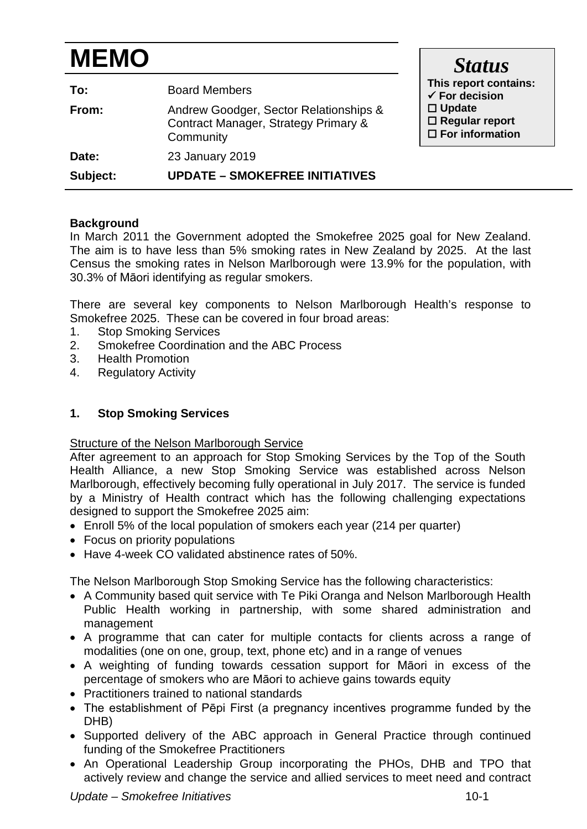# **MEMO**

| To:<br>From: | <b>Board Members</b><br>Andrew Goodger, Sector Relationships &<br>Contract Manager, Strategy Primary &<br>Community | This report contains:<br>$\checkmark$ For decision<br>$\Box$ Update<br>$\Box$ Regular report<br>$\Box$ For information |
|--------------|---------------------------------------------------------------------------------------------------------------------|------------------------------------------------------------------------------------------------------------------------|
| Date:        | 23 January 2019                                                                                                     |                                                                                                                        |
| Subject:     | <b>UPDATE - SMOKEFREE INITIATIVES</b>                                                                               |                                                                                                                        |

## **Background**

In March 2011 the Government adopted the Smokefree 2025 goal for New Zealand. The aim is to have less than 5% smoking rates in New Zealand by 2025. At the last Census the smoking rates in Nelson Marlborough were 13.9% for the population, with 30.3% of Māori identifying as regular smokers.

There are several key components to Nelson Marlborough Health's response to Smokefree 2025. These can be covered in four broad areas:

- 1. Stop Smoking Services
- 2. Smokefree Coordination and the ABC Process
- 3. Health Promotion<br>4. Regulatory Activit
- **Regulatory Activity**

## **1. Stop Smoking Services**

#### Structure of the Nelson Marlborough Service

After agreement to an approach for Stop Smoking Services by the Top of the South Health Alliance, a new Stop Smoking Service was established across Nelson Marlborough, effectively becoming fully operational in July 2017. The service is funded by a Ministry of Health contract which has the following challenging expectations designed to support the Smokefree 2025 aim:

- Enroll 5% of the local population of smokers each year (214 per quarter)
- Focus on priority populations
- Have 4-week CO validated abstinence rates of 50%.

The Nelson Marlborough Stop Smoking Service has the following characteristics:

- A Community based quit service with Te Piki Oranga and Nelson Marlborough Health Public Health working in partnership, with some shared administration and management
- A programme that can cater for multiple contacts for clients across a range of modalities (one on one, group, text, phone etc) and in a range of venues
- A weighting of funding towards cessation support for Māori in excess of the percentage of smokers who are Māori to achieve gains towards equity
- Practitioners trained to national standards
- The establishment of Pēpi First (a pregnancy incentives programme funded by the DHB)
- Supported delivery of the ABC approach in General Practice through continued funding of the Smokefree Practitioners
- An Operational Leadership Group incorporating the PHOs, DHB and TPO that actively review and change the service and allied services to meet need and contract

*Status*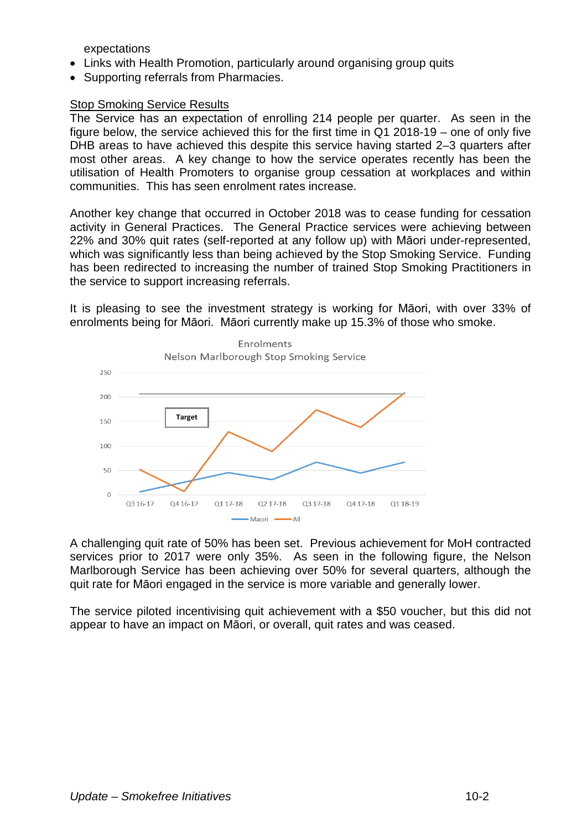expectations

- Links with Health Promotion, particularly around organising group quits
- Supporting referrals from Pharmacies.

#### Stop Smoking Service Results

The Service has an expectation of enrolling 214 people per quarter. As seen in the figure below, the service achieved this for the first time in Q1 2018-19 – one of only five DHB areas to have achieved this despite this service having started 2–3 quarters after most other areas. A key change to how the service operates recently has been the utilisation of Health Promoters to organise group cessation at workplaces and within communities. This has seen enrolment rates increase.

Another key change that occurred in October 2018 was to cease funding for cessation activity in General Practices. The General Practice services were achieving between 22% and 30% quit rates (self-reported at any follow up) with Māori under-represented, which was significantly less than being achieved by the Stop Smoking Service. Funding has been redirected to increasing the number of trained Stop Smoking Practitioners in the service to support increasing referrals.

It is pleasing to see the investment strategy is working for Māori, with over 33% of enrolments being for Māori. Māori currently make up 15.3% of those who smoke.



A challenging quit rate of 50% has been set. Previous achievement for MoH contracted services prior to 2017 were only 35%. As seen in the following figure, the Nelson Marlborough Service has been achieving over 50% for several quarters, although the quit rate for Māori engaged in the service is more variable and generally lower.

The service piloted incentivising quit achievement with a \$50 voucher, but this did not appear to have an impact on Māori, or overall, quit rates and was ceased.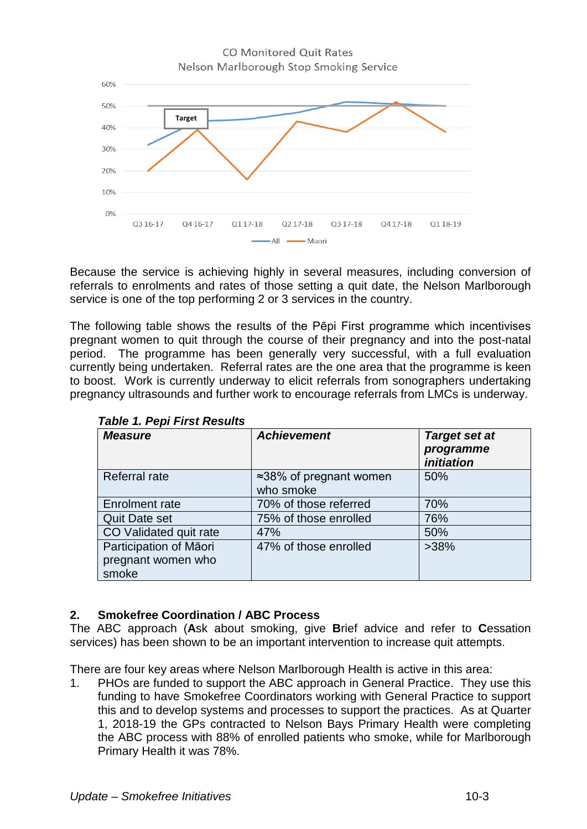

Because the service is achieving highly in several measures, including conversion of referrals to enrolments and rates of those setting a quit date, the Nelson Marlborough service is one of the top performing 2 or 3 services in the country.

The following table shows the results of the Pēpi First programme which incentivises pregnant women to quit through the course of their pregnancy and into the post-natal period. The programme has been generally very successful, with a full evaluation currently being undertaken. Referral rates are the one area that the programme is keen to boost. Work is currently underway to elicit referrals from sonographers undertaking pregnancy ultrasounds and further work to encourage referrals from LMCs is underway.

| <b>Measure</b>                                        | <b>Achievement</b>                           | <b>Target set at</b><br>programme<br><i><b>initiation</b></i> |
|-------------------------------------------------------|----------------------------------------------|---------------------------------------------------------------|
| Referral rate                                         | $\approx$ 38% of pregnant women<br>who smoke | 50%                                                           |
| <b>Enrolment rate</b>                                 | 70% of those referred                        | 70%                                                           |
| <b>Quit Date set</b>                                  | 75% of those enrolled                        | 76%                                                           |
| CO Validated quit rate                                | 47%                                          | 50%                                                           |
| Participation of Māori<br>pregnant women who<br>smoke | 47% of those enrolled                        | $>38\%$                                                       |

*Table 1. Pepi First Results*

## **2. Smokefree Coordination / ABC Process**

The ABC approach (**A**sk about smoking, give **B**rief advice and refer to **C**essation services) has been shown to be an important intervention to increase quit attempts.

There are four key areas where Nelson Marlborough Health is active in this area:

1. PHOs are funded to support the ABC approach in General Practice. They use this funding to have Smokefree Coordinators working with General Practice to support this and to develop systems and processes to support the practices. As at Quarter 1, 2018-19 the GPs contracted to Nelson Bays Primary Health were completing the ABC process with 88% of enrolled patients who smoke, while for Marlborough Primary Health it was 78%.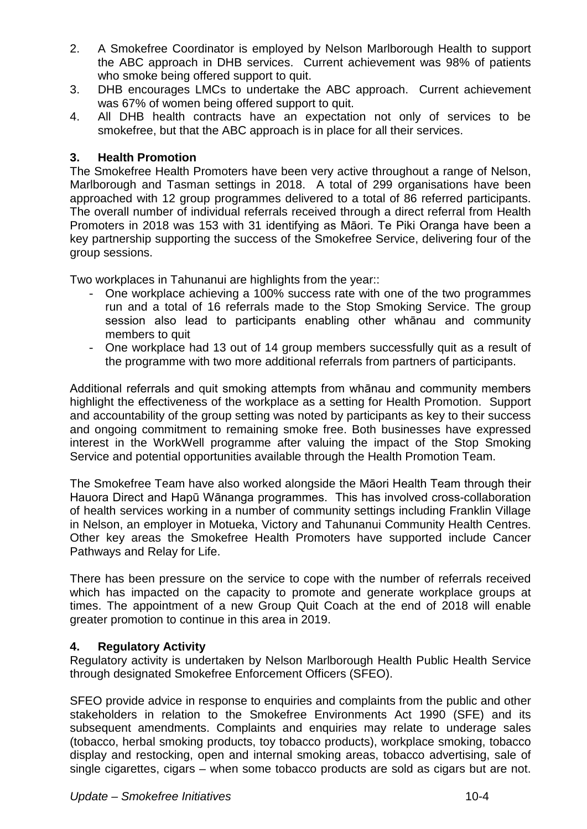- 2. A Smokefree Coordinator is employed by Nelson Marlborough Health to support the ABC approach in DHB services. Current achievement was 98% of patients who smoke being offered support to quit.
- 3. DHB encourages LMCs to undertake the ABC approach. Current achievement was 67% of women being offered support to quit.
- 4. All DHB health contracts have an expectation not only of services to be smokefree, but that the ABC approach is in place for all their services.

#### **3. Health Promotion**

The Smokefree Health Promoters have been very active throughout a range of Nelson, Marlborough and Tasman settings in 2018. A total of 299 organisations have been approached with 12 group programmes delivered to a total of 86 referred participants. The overall number of individual referrals received through a direct referral from Health Promoters in 2018 was 153 with 31 identifying as Māori. Te Piki Oranga have been a key partnership supporting the success of the Smokefree Service, delivering four of the group sessions.

Two workplaces in Tahunanui are highlights from the year::

- One workplace achieving a 100% success rate with one of the two programmes run and a total of 16 referrals made to the Stop Smoking Service. The group session also lead to participants enabling other whānau and community members to quit
- One workplace had 13 out of 14 group members successfully quit as a result of the programme with two more additional referrals from partners of participants.

Additional referrals and quit smoking attempts from whānau and community members highlight the effectiveness of the workplace as a setting for Health Promotion. Support and accountability of the group setting was noted by participants as key to their success and ongoing commitment to remaining smoke free. Both businesses have expressed interest in the WorkWell programme after valuing the impact of the Stop Smoking Service and potential opportunities available through the Health Promotion Team.

The Smokefree Team have also worked alongside the Māori Health Team through their Hauora Direct and Hapū Wānanga programmes. This has involved cross-collaboration of health services working in a number of community settings including Franklin Village in Nelson, an employer in Motueka, Victory and Tahunanui Community Health Centres. Other key areas the Smokefree Health Promoters have supported include Cancer Pathways and Relay for Life.

There has been pressure on the service to cope with the number of referrals received which has impacted on the capacity to promote and generate workplace groups at times. The appointment of a new Group Quit Coach at the end of 2018 will enable greater promotion to continue in this area in 2019.

## **4. Regulatory Activity**

Regulatory activity is undertaken by Nelson Marlborough Health Public Health Service through designated Smokefree Enforcement Officers (SFEO).

SFEO provide advice in response to enquiries and complaints from the public and other stakeholders in relation to the Smokefree Environments Act 1990 (SFE) and its subsequent amendments. Complaints and enquiries may relate to underage sales (tobacco, herbal smoking products, toy tobacco products), workplace smoking, tobacco display and restocking, open and internal smoking areas, tobacco advertising, sale of single cigarettes, cigars – when some tobacco products are sold as cigars but are not.